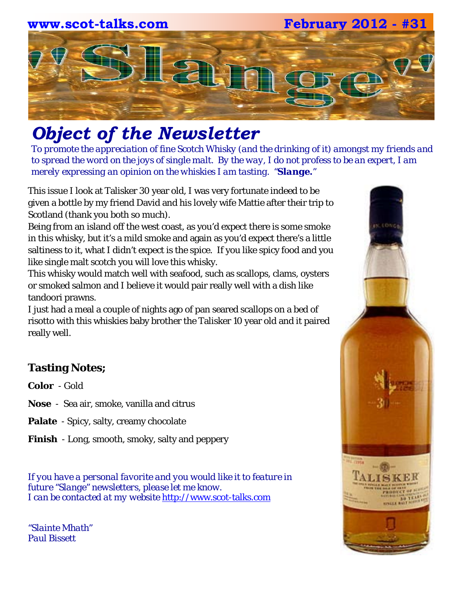

# *Object of the Newsletter*

*To promote the appreciation of fine Scotch Whisky (and the drinking of it) amongst my friends and to spread the word on the joys of single malt. By the way, I do not profess to be an expert, I am merely expressing an opinion on the whiskies I am tasting. "Slange."*

This issue I look at Talisker 30 year old, I was very fortunate indeed to be given a bottle by my friend David and his lovely wife Mattie after their trip to Scotland (thank you both so much).

Being from an island off the west coast, as you'd expect there is some smoke in this whisky, but it's a mild smoke and again as you'd expect there's a little saltiness to it, what I didn't expect is the spice. If you like spicy food and you like single malt scotch you will love this whisky.

This whisky would match well with seafood, such as scallops, clams, oysters or smoked salmon and I believe it would pair really well with a dish like tandoori prawns.

I just had a meal a couple of nights ago of pan seared scallops on a bed of risotto with this whiskies baby brother the Talisker 10 year old and it paired really well.

## **Tasting Notes;**

**Color** - Gold

**Nose** - Sea air, smoke, vanilla and citrus

**Palate** - Spicy, salty, creamy chocolate

**Finish** - Long, smooth, smoky, salty and peppery

*If you have a personal favorite and you would like it to feature in future "Slange" newsletters, please let me know. I can be contacted at my website* [http://www.scot-talks.com](http://www.scot-talks.com/default.html)

*"Slainte Mhath" Paul Bissett*

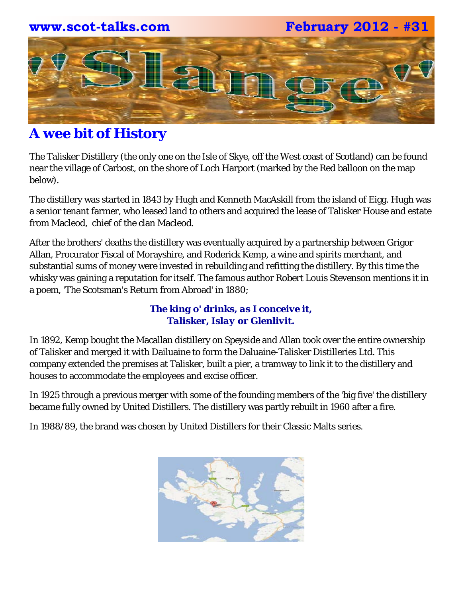

# **A wee bit of History**

The Talisker Distillery (the only one on the Isle of Skye, off the West coast of Scotland) can be found near the village of Carbost, on the shore of Loch Harport (marked by the Red balloon on the map below).

The distillery was started in 1843 by Hugh and Kenneth MacAskill from the island of Eigg. Hugh was a senior tenant farmer, who leased land to others and acquired the lease of Talisker House and estate from Macleod, chief of the clan Macleod.

After the brothers' deaths the distillery was eventually acquired by a partnership between Grigor Allan, Procurator Fiscal of Morayshire, and Roderick Kemp, a wine and spirits merchant, and substantial sums of money were invested in rebuilding and refitting the distillery. By this time the whisky was gaining a reputation for itself. The famous author Robert Louis Stevenson mentions it in a poem, 'The Scotsman's Return from Abroad' in 1880;

### *The king o' drinks, as I conceive it, Talisker, Islay or Glenlivit.*

In 1892, Kemp bought the Macallan distillery on Speyside and Allan took over the entire ownership of Talisker and merged it with Dailuaine to form the Daluaine-Talisker Distilleries Ltd. This company extended the premises at Talisker, built a pier, a tramway to link it to the distillery and houses to accommodate the employees and excise officer.

In 1925 through a previous merger with some of the founding members of the 'big five' the distillery became fully owned by United Distillers. The distillery was partly rebuilt in 1960 after a fire.

In 1988/89, the brand was chosen by United Distillers for their Classic Malts series.

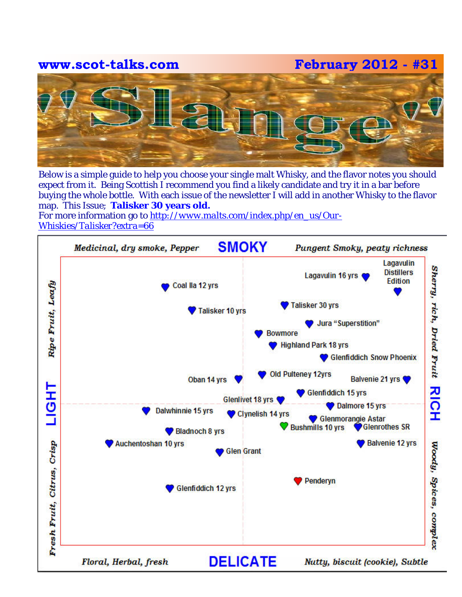**www.scot-talks.com February 2012 - #31**



Below is a simple guide to help you choose your single malt Whisky, and the flavor notes you should expect from it. Being Scottish I recommend you find a likely candidate and try it in a bar before buying the whole bottle. With each issue of the newsletter I will add in another Whisky to the flavor map. This Issue; **Talisker 30 years old.** 

For more information go to *[http://www.malts.com/index.php/en\\_us/Our-](http://www.malts.com/index.php/en_us/Our-Whiskies/Talisker?extra=66)[Whiskies/Talisker?extra=66](http://www.malts.com/index.php/en_us/Our-Whiskies/Talisker?extra=66)*